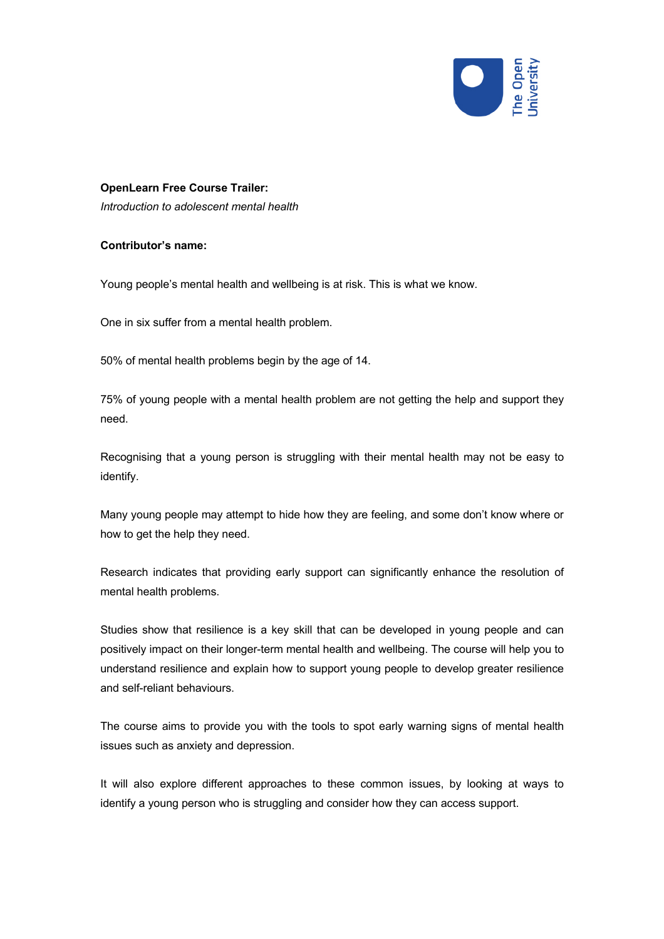

## **OpenLearn Free Course Trailer:**

*Introduction to adolescent mental health*

## **Contributor's name:**

Young people's mental health and wellbeing is at risk. This is what we know.

One in six suffer from a mental health problem.

50% of mental health problems begin by the age of 14.

75% of young people with a mental health problem are not getting the help and support they need.

Recognising that a young person is struggling with their mental health may not be easy to identify.

Many young people may attempt to hide how they are feeling, and some don't know where or how to get the help they need.

Research indicates that providing early support can significantly enhance the resolution of mental health problems.

Studies show that resilience is a key skill that can be developed in young people and can positively impact on their longer-term mental health and wellbeing. The course will help you to understand resilience and explain how to support young people to develop greater resilience and self-reliant behaviours.

The course aims to provide you with the tools to spot early warning signs of mental health issues such as anxiety and depression.

It will also explore different approaches to these common issues, by looking at ways to identify a young person who is struggling and consider how they can access support.